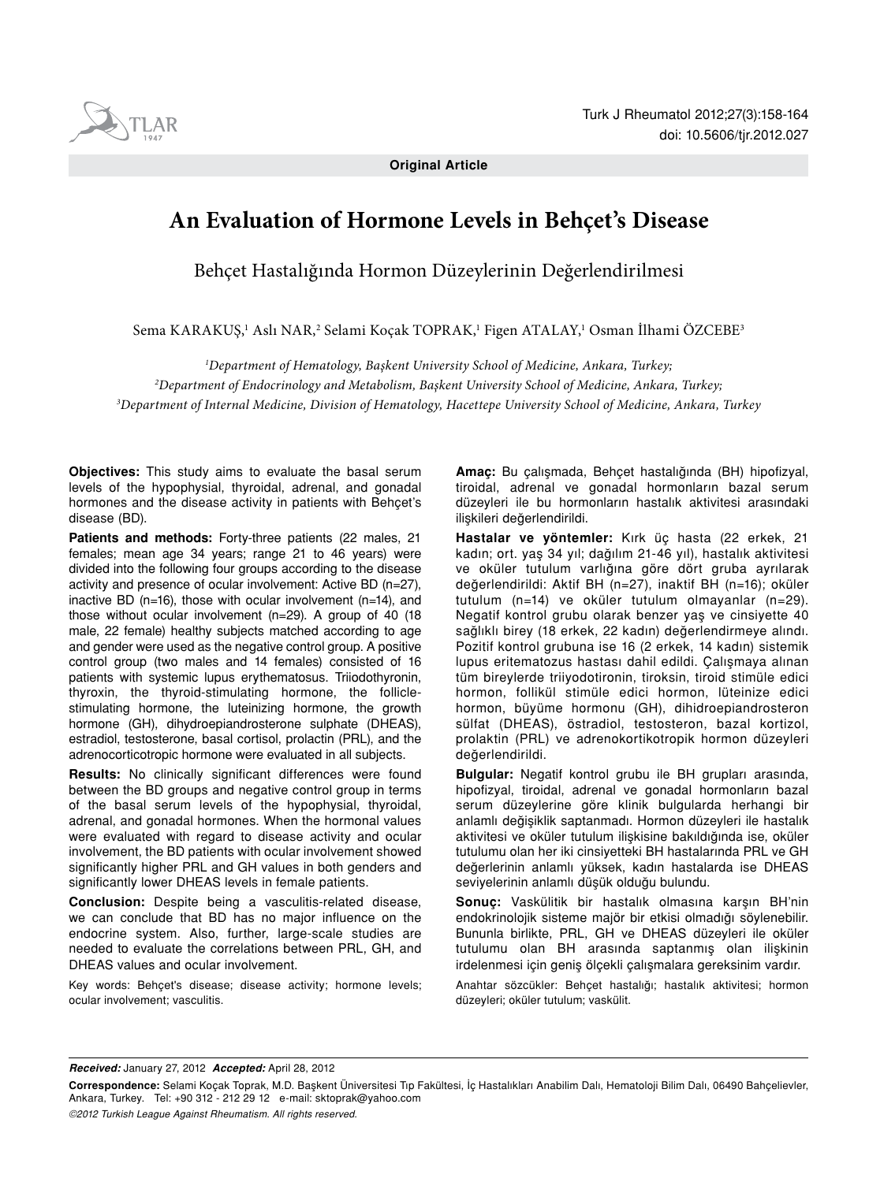

**Original Article** 

# **An Evaluation of Hormone Levels in Behçet's Disease**

Behçet Hastalığında Hormon Düzeylerinin Değerlendirilmesi

Sema KARAKUŞ,<sup>ı</sup> Aslı NAR,<sup>2</sup> Selami Koçak TOPRAK,<sup>ı</sup> Figen ATALAY,<sup>ı</sup> Osman İlhami ÖZCEBE<sup>3</sup>

*1 Department of Hematology, Başkent University School of Medicine, Ankara, Turkey; 2 Department of Endocrinology and Metabolism, Başkent University School of Medicine, Ankara, Turkey; 3 Department of Internal Medicine, Division of Hematology, Hacettepe University School of Medicine, Ankara, Turkey*

**Objectives:** This study aims to evaluate the basal serum levels of the hypophysial, thyroidal, adrenal, and gonadal hormones and the disease activity in patients with Behçet's disease (BD).

**Patients and methods:** Forty-three patients (22 males, 21 females; mean age 34 years; range 21 to 46 years) were divided into the following four groups according to the disease activity and presence of ocular involvement: Active BD (n=27), inactive BD (n=16), those with ocular involvement (n=14), and those without ocular involvement (n=29). A group of 40 (18 male, 22 female) healthy subjects matched according to age and gender were used as the negative control group. A positive control group (two males and 14 females) consisted of 16 patients with systemic lupus erythematosus. Triiodothyronin, thyroxin, the thyroid-stimulating hormone, the folliclestimulating hormone, the luteinizing hormone, the growth hormone (GH), dihydroepiandrosterone sulphate (DHEAS), estradiol, testosterone, basal cortisol, prolactin (PRL), and the adrenocorticotropic hormone were evaluated in all subjects.

**Results:** No clinically significant differences were found between the BD groups and negative control group in terms of the basal serum levels of the hypophysial, thyroidal, adrenal, and gonadal hormones. When the hormonal values were evaluated with regard to disease activity and ocular involvement, the BD patients with ocular involvement showed significantly higher PRL and GH values in both genders and significantly lower DHEAS levels in female patients.

**Conclusion:** Despite being a vasculitis-related disease, we can conclude that BD has no major influence on the endocrine system. Also, further, large-scale studies are needed to evaluate the correlations between PRL, GH, and DHEAS values and ocular involvement.

Key words: Behçet's disease; disease activity; hormone levels; ocular involvement; vasculitis.

**Amaç:** Bu çalışmada, Behçet hastalığında (BH) hipofizyal, tiroidal, adrenal ve gonadal hormonların bazal serum düzeyleri ile bu hormonların hastalık aktivitesi arasındaki ilişkileri değerlendirildi.

**Hastalar ve yöntemler:** Kırk üç hasta (22 erkek, 21 kadın; ort. yaş 34 yıl; dağılım 21-46 yıl), hastalık aktivitesi ve oküler tutulum varlığına göre dört gruba ayrılarak değerlendirildi: Aktif BH (n=27), inaktif BH (n=16); oküler tutulum (n=14) ve oküler tutulum olmayanlar (n=29). Negatif kontrol grubu olarak benzer yaş ve cinsiyette 40 sağlıklı birey (18 erkek, 22 kadın) değerlendirmeye alındı. Pozitif kontrol grubuna ise 16 (2 erkek, 14 kadın) sistemik lupus eritematozus hastası dahil edildi. Çalışmaya alınan tüm bireylerde triiyodotironin, tiroksin, tiroid stimüle edici hormon, follikül stimüle edici hormon, lüteinize edici hormon, büyüme hormonu (GH), dihidroepiandrosteron sülfat (DHEAS), östradiol, testosteron, bazal kortizol, prolaktin (PRL) ve adrenokortikotropik hormon düzeyleri değerlendirildi.

**Bulgular:** Negatif kontrol grubu ile BH grupları arasında, hipofizyal, tiroidal, adrenal ve gonadal hormonların bazal serum düzeylerine göre klinik bulgularda herhangi bir anlamlı değişiklik saptanmadı. Hormon düzeyleri ile hastalık aktivitesi ve oküler tutulum ilişkisine bakıldığında ise, oküler tutulumu olan her iki cinsiyetteki BH hastalarında PRL ve GH değerlerinin anlamlı yüksek, kadın hastalarda ise DHEAS seviyelerinin anlamlı düşük olduğu bulundu.

**Sonuç:** Vaskülitik bir hastalık olmasına karşın BH'nin endokrinolojik sisteme majör bir etkisi olmadığı söylenebilir. Bununla birlikte, PRL, GH ve DHEAS düzeyleri ile oküler tutulumu olan BH arasında saptanmış olan ilişkinin irdelenmesi için geniş ölçekli çalışmalara gereksinim vardır.

Anahtar sözcükler: Behçet hastalığı; hastalık aktivitesi; hormon düzeyleri; oküler tutulum; vaskülit.

*Received:* January 27, 2012 *Accepted:* April 28, 2012

*©2012 Turkish League Against Rheumatism. All rights reserved.*

**Correspondence:** Selami Koçak Toprak, M.D. Başkent Üniversitesi Tıp Fakültesi, İç Hastalıkları Anabilim Dalı, Hematoloji Bilim Dalı, 06490 Bahçelievler, Ankara, Turkey. Tel: +90 312 - 212 29 12 e-mail: sktoprak@yahoo.com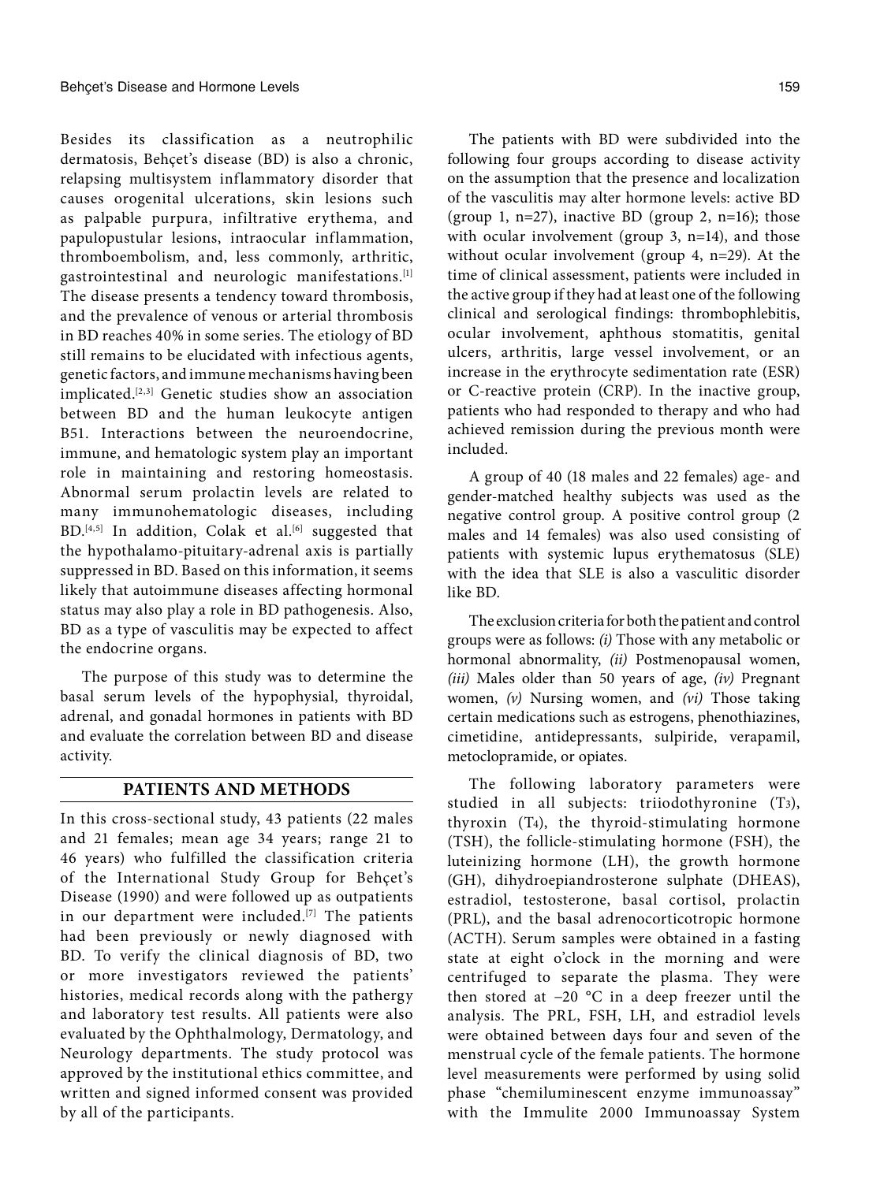Besides its classification as a neutrophilic dermatosis, Behçet's disease (BD) is also a chronic, relapsing multisystem inflammatory disorder that causes orogenital ulcerations, skin lesions such as palpable purpura, infiltrative erythema, and papulopustular lesions, intraocular inflammation, thromboembolism, and, less commonly, arthritic, gastrointestinal and neurologic manifestations.[1] The disease presents a tendency toward thrombosis, and the prevalence of venous or arterial thrombosis in BD reaches 40% in some series. The etiology of BD still remains to be elucidated with infectious agents, genetic factors, and immune mechanisms having been implicated.[2,3] Genetic studies show an association between BD and the human leukocyte antigen B51. Interactions between the neuroendocrine, immune, and hematologic system play an important role in maintaining and restoring homeostasis. Abnormal serum prolactin levels are related to many immunohematologic diseases, including BD.<sup>[4,5]</sup> In addition, Colak et al.<sup>[6]</sup> suggested that the hypothalamo-pituitary-adrenal axis is partially suppressed in BD. Based on this information, it seems likely that autoimmune diseases affecting hormonal status may also play a role in BD pathogenesis. Also, BD as a type of vasculitis may be expected to affect the endocrine organs.

The purpose of this study was to determine the basal serum levels of the hypophysial, thyroidal, adrenal, and gonadal hormones in patients with BD and evaluate the correlation between BD and disease activity.

## **PATIENTS AND METHODS**

In this cross-sectional study, 43 patients (22 males and 21 females; mean age 34 years; range 21 to 46 years) who fulfilled the classification criteria of the International Study Group for Behçet's Disease (1990) and were followed up as outpatients in our department were included.[7] The patients had been previously or newly diagnosed with BD. To verify the clinical diagnosis of BD, two or more investigators reviewed the patients' histories, medical records along with the pathergy and laboratory test results. All patients were also evaluated by the Ophthalmology, Dermatology, and Neurology departments. The study protocol was approved by the institutional ethics committee, and written and signed informed consent was provided by all of the participants.

The patients with BD were subdivided into the following four groups according to disease activity on the assumption that the presence and localization of the vasculitis may alter hormone levels: active BD (group 1,  $n=27$ ), inactive BD (group 2,  $n=16$ ); those with ocular involvement (group 3, n=14), and those without ocular involvement (group 4, n=29). At the time of clinical assessment, patients were included in the active group if they had at least one of the following clinical and serological findings: thrombophlebitis, ocular involvement, aphthous stomatitis, genital ulcers, arthritis, large vessel involvement, or an increase in the erythrocyte sedimentation rate (ESR) or C-reactive protein (CRP). In the inactive group, patients who had responded to therapy and who had achieved remission during the previous month were included.

A group of 40 (18 males and 22 females) age- and gender-matched healthy subjects was used as the negative control group. A positive control group (2 males and 14 females) was also used consisting of patients with systemic lupus erythematosus (SLE) with the idea that SLE is also a vasculitic disorder like BD.

The exclusion criteria for both the patient and control groups were as follows: *(i)* Those with any metabolic or hormonal abnormality, *(ii)* Postmenopausal women, *(iii)* Males older than 50 years of age, *(iv)* Pregnant women, *(v)* Nursing women, and *(vi)* Those taking certain medications such as estrogens, phenothiazines, cimetidine, antidepressants, sulpiride, verapamil, metoclopramide, or opiates.

The following laboratory parameters were studied in all subjects: triiodothyronine (T3), thyroxin (T4), the thyroid-stimulating hormone (TSH), the follicle-stimulating hormone (FSH), the luteinizing hormone (LH), the growth hormone (GH), dihydroepiandrosterone sulphate (DHEAS), estradiol, testosterone, basal cortisol, prolactin (PRL), and the basal adrenocorticotropic hormone (ACTH). Serum samples were obtained in a fasting state at eight o'clock in the morning and were centrifuged to separate the plasma. They were then stored at −20 °C in a deep freezer until the analysis. The PRL, FSH, LH, and estradiol levels were obtained between days four and seven of the menstrual cycle of the female patients. The hormone level measurements were performed by using solid phase "chemiluminescent enzyme immunoassay" with the Immulite 2000 Immunoassay System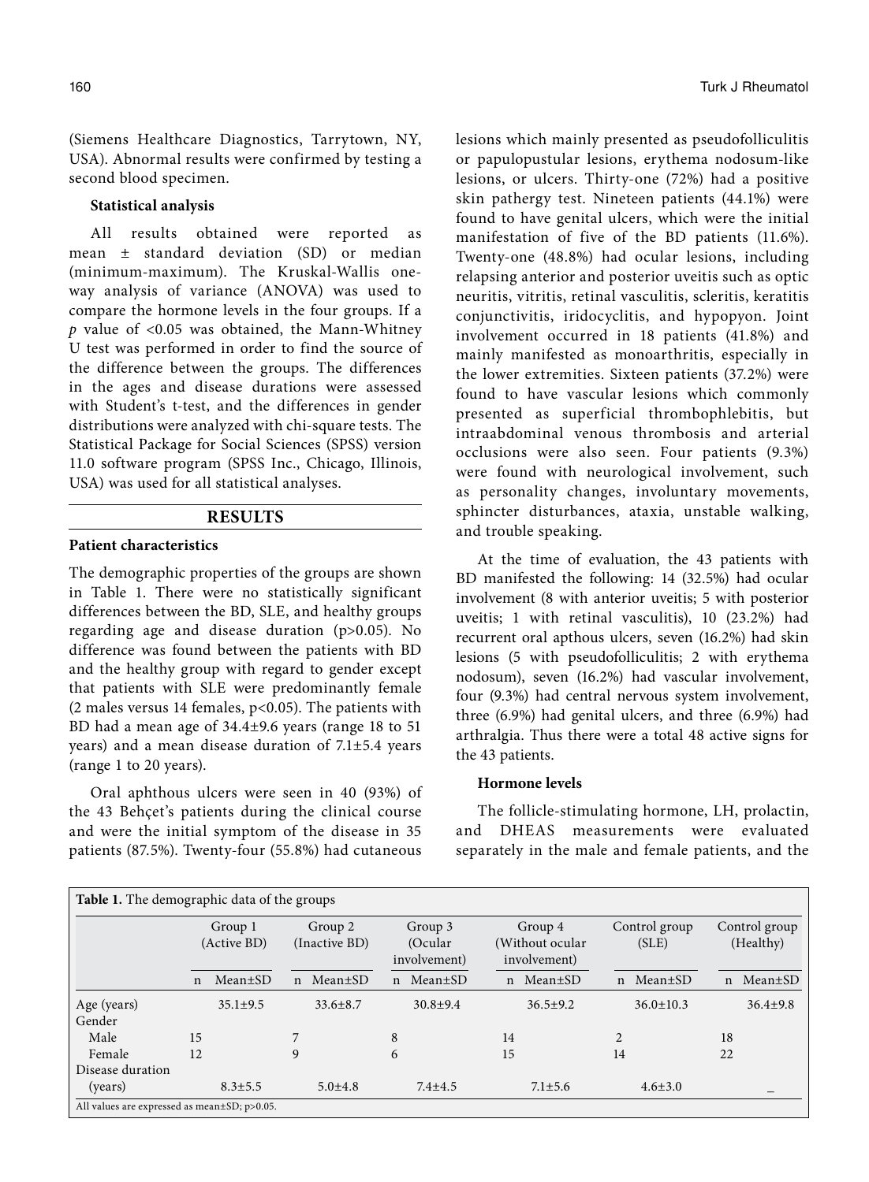(Siemens Healthcare Diagnostics, Tarrytown, NY, USA). Abnormal results were confirmed by testing a second blood specimen.

## **Statistical analysis**

All results obtained were reported as mean ± standard deviation (SD) or median (minimum-maximum). The Kruskal-Wallis oneway analysis of variance (ANOVA) was used to compare the hormone levels in the four groups. If a *p* value of <0.05 was obtained, the Mann-Whitney U test was performed in order to find the source of the difference between the groups. The differences in the ages and disease durations were assessed with Student's t-test, and the differences in gender distributions were analyzed with chi-square tests. The Statistical Package for Social Sciences (SPSS) version 11.0 software program (SPSS Inc., Chicago, Illinois, USA) was used for all statistical analyses.

# **RESULTS**

#### **Patient characteristics**

The demographic properties of the groups are shown in Table 1. There were no statistically significant differences between the BD, SLE, and healthy groups regarding age and disease duration (p>0.05). No difference was found between the patients with BD and the healthy group with regard to gender except that patients with SLE were predominantly female (2 males versus 14 females, p<0.05). The patients with BD had a mean age of 34.4±9.6 years (range 18 to 51 years) and a mean disease duration of 7.1±5.4 years (range 1 to 20 years).

Oral aphthous ulcers were seen in 40 (93%) of the 43 Behçet's patients during the clinical course and were the initial symptom of the disease in 35 patients (87.5%). Twenty-four (55.8%) had cutaneous lesions which mainly presented as pseudofolliculitis or papulopustular lesions, erythema nodosum-like lesions, or ulcers. Thirty-one (72%) had a positive skin pathergy test. Nineteen patients (44.1%) were found to have genital ulcers, which were the initial manifestation of five of the BD patients (11.6%). Twenty-one (48.8%) had ocular lesions, including relapsing anterior and posterior uveitis such as optic neuritis, vitritis, retinal vasculitis, scleritis, keratitis conjunctivitis, iridocyclitis, and hypopyon. Joint involvement occurred in 18 patients (41.8%) and mainly manifested as monoarthritis, especially in the lower extremities. Sixteen patients (37.2%) were found to have vascular lesions which commonly presented as superficial thrombophlebitis, but intraabdominal venous thrombosis and arterial occlusions were also seen. Four patients (9.3%) were found with neurological involvement, such as personality changes, involuntary movements, sphincter disturbances, ataxia, unstable walking, and trouble speaking.

At the time of evaluation, the 43 patients with BD manifested the following: 14 (32.5%) had ocular involvement (8 with anterior uveitis; 5 with posterior uveitis; 1 with retinal vasculitis), 10 (23.2%) had recurrent oral apthous ulcers, seven (16.2%) had skin lesions (5 with pseudofolliculitis; 2 with erythema nodosum), seven (16.2%) had vascular involvement, four (9.3%) had central nervous system involvement, three (6.9%) had genital ulcers, and three (6.9%) had arthralgia. Thus there were a total 48 active signs for the 43 patients.

#### **Hormone levels**

The follicle-stimulating hormone, LH, prolactin, and DHEAS measurements were evaluated separately in the male and female patients, and the

| Table 1. The demographic data of the groups        |              |                        |             |                          |              |                                     |  |                                            |                |                        |    |                            |  |
|----------------------------------------------------|--------------|------------------------|-------------|--------------------------|--------------|-------------------------------------|--|--------------------------------------------|----------------|------------------------|----|----------------------------|--|
|                                                    |              | Group 1<br>(Active BD) |             | Group 2<br>(Inactive BD) |              | Group 3<br>(Ocular)<br>involvement) |  | Group 4<br>(Without ocular<br>involvement) |                | Control group<br>(SLE) |    | Control group<br>(Healthy) |  |
|                                                    | $\mathsf{n}$ | $Mean \pm SD$          | $\mathbf n$ | $Mean \pm SD$            | $\mathsf{n}$ | $Mean \pm SD$                       |  | $Mean \pm SD$<br>n                         |                | n Mean±SD              | n  | $Mean \pm SD$              |  |
| Age (years)<br>Gender                              |              | $35.1 \pm 9.5$         |             | $33.6 \pm 8.7$           |              | $30.8 + 9.4$                        |  | $36.5+9.2$                                 |                | $36.0 \pm 10.3$        |    | $36.4 + 9.8$               |  |
| Male                                               | 15           |                        |             |                          | 8            |                                     |  | 14                                         | $\mathfrak{D}$ |                        | 18 |                            |  |
| Female                                             | 12           |                        | 9           |                          | 6            |                                     |  | 15                                         | 14             |                        | 22 |                            |  |
| Disease duration                                   |              |                        |             |                          |              |                                     |  |                                            |                |                        |    |                            |  |
| (years)                                            |              | $8.3 \pm 5.5$          |             | $5.0{\pm}4.8$            |              | $7.4 + 4.5$                         |  | $7.1 \pm 5.6$                              |                | $4.6 \pm 3.0$          |    |                            |  |
| All values are expressed as mean $\pm$ SD; p>0.05. |              |                        |             |                          |              |                                     |  |                                            |                |                        |    |                            |  |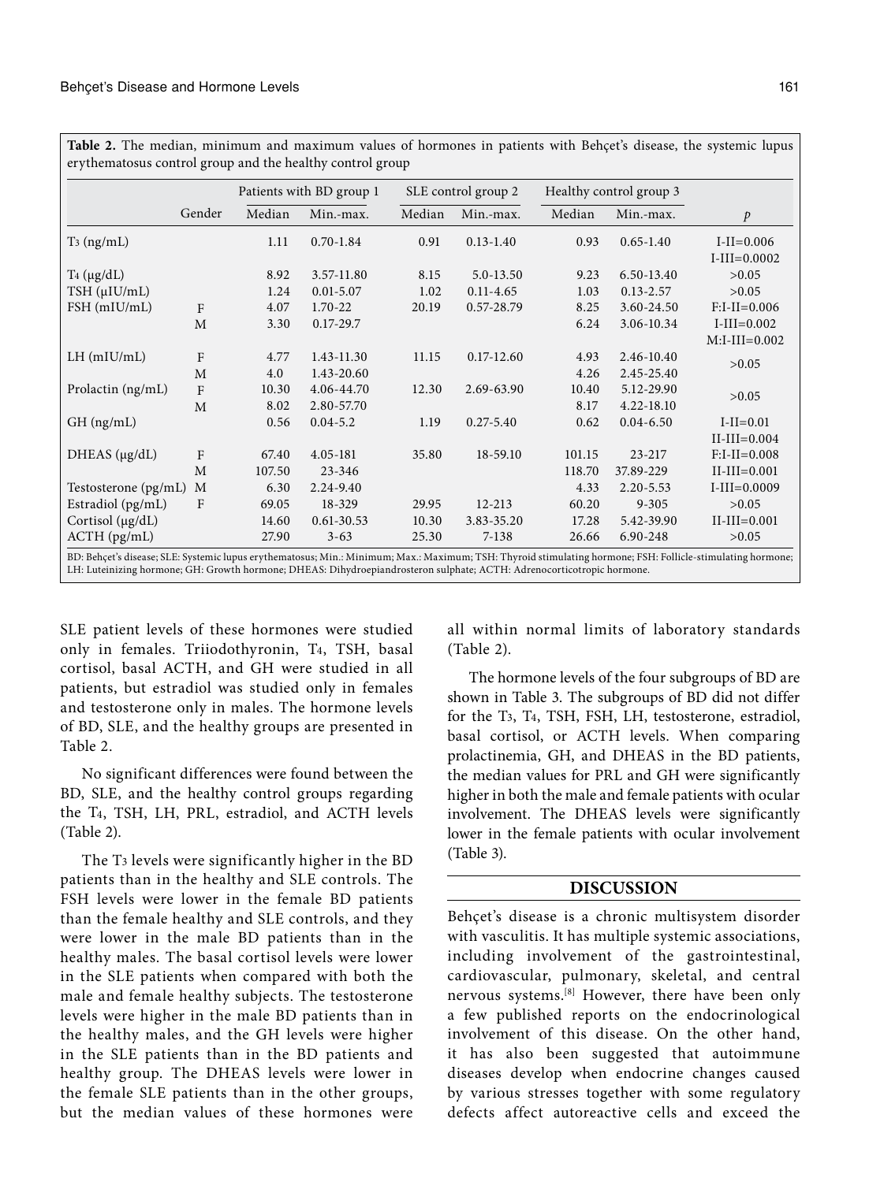**Table 2.** The median, minimum and maximum values of hormones in patients with Behçet's disease, the systemic lupus erythematosus control group and the healthy control group

|                                                                                                                                                                                                                                                                                       |        | Patients with BD group 1 |                |        | SLE control group 2 | Healthy control group 3 |               |                                    |
|---------------------------------------------------------------------------------------------------------------------------------------------------------------------------------------------------------------------------------------------------------------------------------------|--------|--------------------------|----------------|--------|---------------------|-------------------------|---------------|------------------------------------|
|                                                                                                                                                                                                                                                                                       | Gender | Median                   | Min.-max.      | Median | Min.-max.           | Median                  | Min.-max.     | $\mathcal{P}$                      |
| $T_3$ (ng/mL)                                                                                                                                                                                                                                                                         |        | 1.11                     | $0.70 - 1.84$  | 0.91   | $0.13 - 1.40$       | 0.93                    | $0.65 - 1.40$ | $I-II = 0.006$<br>$I-III = 0.0002$ |
| $T_4$ ( $\mu$ g/dL)                                                                                                                                                                                                                                                                   |        | 8.92                     | 3.57-11.80     | 8.15   | 5.0-13.50           | 9.23                    | 6.50-13.40    | >0.05                              |
| TSH (µIU/mL)                                                                                                                                                                                                                                                                          |        | 1.24                     | $0.01 - 5.07$  | 1.02   | $0.11 - 4.65$       | 1.03                    | $0.13 - 2.57$ | >0.05                              |
| $FSH$ (mIU/mL)                                                                                                                                                                                                                                                                        | F      | 4.07                     | 1.70-22        | 20.19  | 0.57-28.79          | 8.25                    | 3.60-24.50    | $F:I-I=0.006$                      |
|                                                                                                                                                                                                                                                                                       | M      | 3.30                     | $0.17 - 29.7$  |        |                     | 6.24                    | 3.06-10.34    | $I-III = 0.002$<br>$M:I-II=0.002$  |
| $LH$ (mIU/mL)                                                                                                                                                                                                                                                                         | F      | 4.77                     | 1.43-11.30     | 11.15  | $0.17 - 12.60$      | 4.93                    | 2.46-10.40    |                                    |
|                                                                                                                                                                                                                                                                                       | M      | 4.0                      | 1.43-20.60     |        |                     | 4.26                    | 2.45-25.40    | >0.05                              |
| Prolactin (ng/mL)                                                                                                                                                                                                                                                                     | F      | 10.30                    | 4.06-44.70     | 12.30  | 2.69-63.90          | 10.40                   | 5.12-29.90    | >0.05                              |
|                                                                                                                                                                                                                                                                                       | M      | 8.02                     | 2.80-57.70     |        |                     | 8.17                    | 4.22-18.10    |                                    |
| $GH$ (ng/mL)                                                                                                                                                                                                                                                                          |        | 0.56                     | $0.04 - 5.2$   | 1.19   | $0.27 - 5.40$       | 0.62                    | $0.04 - 6.50$ | $I-II=0.01$                        |
|                                                                                                                                                                                                                                                                                       |        |                          |                |        |                     |                         |               | $II-III=0.004$                     |
| DHEAS $(\mu g/dL)$                                                                                                                                                                                                                                                                    | F      | 67.40                    | 4.05-181       | 35.80  | 18-59.10            | 101.15                  | 23-217        | $F:I-II=0.008$                     |
|                                                                                                                                                                                                                                                                                       | M      | 107.50                   | $23 - 346$     |        |                     | 118.70                  | 37.89-229     | $II-III = 0.001$                   |
| Testosterone (pg/mL)                                                                                                                                                                                                                                                                  | M      | 6.30                     | 2.24-9.40      |        |                     | 4.33                    | $2.20 - 5.53$ | $I-III = 0.0009$                   |
| Estradiol (pg/mL)                                                                                                                                                                                                                                                                     | F      | 69.05                    | 18-329         | 29.95  | $12 - 213$          | 60.20                   | $9 - 305$     | >0.05                              |
| Cortisol (µg/dL)                                                                                                                                                                                                                                                                      |        | 14.60                    | $0.61 - 30.53$ | 10.30  | 3.83-35.20          | 17.28                   | 5.42-39.90    | $II-III=0.001$                     |
| $ACTH$ ( $pg/mL$ )                                                                                                                                                                                                                                                                    |        | 27.90                    | $3 - 63$       | 25.30  | $7 - 138$           | 26.66                   | 6.90-248      | >0.05                              |
| BD: Behçet's disease; SLE: Systemic lupus erythematosus; Min.: Minimum; Max.: Maximum; TSH: Thyroid stimulating hormone; FSH: Follicle-stimulating hormone;<br>LH: Luteinizing hormone; GH: Growth hormone; DHEAS: Dihydroepiandrosteron sulphate; ACTH: Adrenocorticotropic hormone. |        |                          |                |        |                     |                         |               |                                    |

SLE patient levels of these hormones were studied only in females. Triiodothyronin, T4, TSH, basal cortisol, basal ACTH, and GH were studied in all patients, but estradiol was studied only in females and testosterone only in males. The hormone levels of BD, SLE, and the healthy groups are presented in Table 2.

No significant differences were found between the BD, SLE, and the healthy control groups regarding the T4, TSH, LH, PRL, estradiol, and ACTH levels (Table 2).

The T3 levels were significantly higher in the BD patients than in the healthy and SLE controls. The FSH levels were lower in the female BD patients than the female healthy and SLE controls, and they were lower in the male BD patients than in the healthy males. The basal cortisol levels were lower in the SLE patients when compared with both the male and female healthy subjects. The testosterone levels were higher in the male BD patients than in the healthy males, and the GH levels were higher in the SLE patients than in the BD patients and healthy group. The DHEAS levels were lower in the female SLE patients than in the other groups, but the median values of these hormones were

all within normal limits of laboratory standards (Table 2).

The hormone levels of the four subgroups of BD are shown in Table 3. The subgroups of BD did not differ for the T3, T4, TSH, FSH, LH, testosterone, estradiol, basal cortisol, or ACTH levels. When comparing prolactinemia, GH, and DHEAS in the BD patients, the median values for PRL and GH were significantly higher in both the male and female patients with ocular involvement. The DHEAS levels were significantly lower in the female patients with ocular involvement (Table 3).

# **DISCUSSION**

Behçet's disease is a chronic multisystem disorder with vasculitis. It has multiple systemic associations, including involvement of the gastrointestinal, cardiovascular, pulmonary, skeletal, and central nervous systems.[8] However, there have been only a few published reports on the endocrinological involvement of this disease. On the other hand, it has also been suggested that autoimmune diseases develop when endocrine changes caused by various stresses together with some regulatory defects affect autoreactive cells and exceed the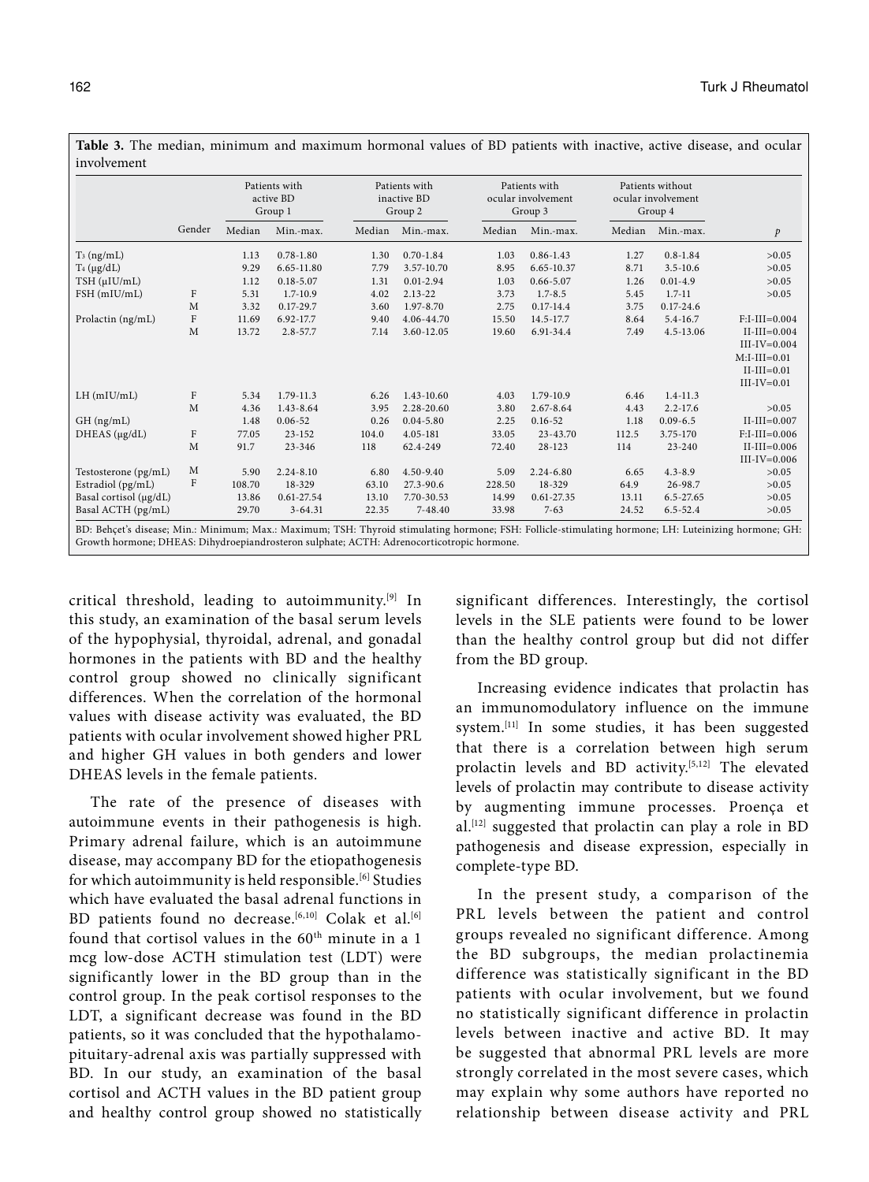|                        |              | Patients with<br>active BD<br>Group 1 |               | Patients with<br>inactive BD<br>Group 2 |               |        | Patients with<br>ocular involvement<br>Group 3 | Patients without<br>ocular involvement<br>Group 4 |               |                                                  |
|------------------------|--------------|---------------------------------------|---------------|-----------------------------------------|---------------|--------|------------------------------------------------|---------------------------------------------------|---------------|--------------------------------------------------|
|                        | Gender       | Median                                | Min.-max.     | Median                                  | Min.-max.     | Median | Min.-max.                                      | Median                                            | Min.-max.     | $\mathcal{P}$                                    |
| $T_3$ (ng/mL)          |              | 1.13                                  | $0.78 - 1.80$ | 1.30                                    | $0.70 - 1.84$ | 1.03   | $0.86 - 1.43$                                  | 1.27                                              | $0.8 - 1.84$  | >0.05                                            |
| $T_4$ ( $\mu$ g/dL)    |              | 9.29                                  | 6.65-11.80    | 7.79                                    | 3.57-10.70    | 8.95   | 6.65-10.37                                     | 8.71                                              | $3.5 - 10.6$  | >0.05                                            |
| TSH (µIU/mL)           |              | 1.12                                  | $0.18 - 5.07$ | 1.31                                    | $0.01 - 2.94$ | 1.03   | $0.66 - 5.07$                                  | 1.26                                              | $0.01 - 4.9$  | >0.05                                            |
| FSH (mIU/mL)           | F            | 5.31                                  | $1.7 - 10.9$  | 4.02                                    | $2.13 - 22$   | 3.73   | $1.7 - 8.5$                                    | 5.45                                              | $1.7 - 11$    | >0.05                                            |
|                        | M            | 3.32                                  | $0.17 - 29.7$ | 3.60                                    | 1.97-8.70     | 2.75   | $0.17 - 14.4$                                  | 3.75                                              | $0.17 - 24.6$ |                                                  |
| Prolactin (ng/mL)      | $\mathbf{F}$ | 11.69                                 | 6.92-17.7     | 9.40                                    | 4.06-44.70    | 15.50  | 14.5-17.7                                      | 8.64                                              | $5.4 - 16.7$  | $F:I-III=0.004$                                  |
|                        | M            | 13.72                                 | $2.8 - 57.7$  | 7.14                                    | 3.60-12.05    | 19.60  | 6.91-34.4                                      | 7.49                                              | 4.5-13.06     | $II-III=0.004$<br>$III-IV=0.004$                 |
|                        |              |                                       |               |                                         |               |        |                                                |                                                   |               | $M:I-III=0.01$<br>$II-III=0.01$<br>$III-IV=0.01$ |
| $LH$ (mIU/mL)          | $\rm F$      | 5.34                                  | 1.79-11.3     | 6.26                                    | 1.43-10.60    | 4.03   | 1.79-10.9                                      | 6.46                                              | $1.4 - 11.3$  |                                                  |
|                        | M            | 4.36                                  | 1.43-8.64     | 3.95                                    | 2.28-20.60    | 3.80   | 2.67-8.64                                      | 4.43                                              | $2.2 - 17.6$  | >0.05                                            |
| GH (ng/mL)             |              | 1.48                                  | $0.06 - 52$   | 0.26                                    | $0.04 - 5.80$ | 2.25   | $0.16 - 52$                                    | 1.18                                              | $0.09 - 6.5$  | $II-III=0.007$                                   |
| $DHEAS(\mu g/dL)$      | F            | 77.05                                 | $23 - 152$    | 104.0                                   | 4.05-181      | 33.05  | 23-43.70                                       | 112.5                                             | 3.75-170      | $F:I-II=0.006$                                   |
|                        | M            | 91.7                                  | 23-346        | 118                                     | 62.4-249      | 72.40  | $28 - 123$                                     | 114                                               | $23 - 240$    | $II-III=0.006$<br>$III-IV=0.006$                 |
| Testosterone (pg/mL)   | M            | 5.90                                  | $2.24 - 8.10$ | 6.80                                    | $4.50 - 9.40$ | 5.09   | $2.24 - 6.80$                                  | 6.65                                              | $4.3 - 8.9$   | >0.05                                            |
| Estradiol (pg/mL)      | F            | 108.70                                | 18-329        | 63.10                                   | 27.3-90.6     | 228.50 | 18-329                                         | 64.9                                              | 26-98.7       | >0.05                                            |
| Basal cortisol (µg/dL) |              | 13.86                                 | 0.61-27.54    | 13.10                                   | 7.70-30.53    | 14.99  | 0.61-27.35                                     | 13.11                                             | 6.5-27.65     | >0.05                                            |
| Basal ACTH (pg/mL)     |              | 29.70                                 | $3 - 64.31$   | 22.35                                   | 7-48.40       | 33.98  | $7 - 63$                                       | 24.52                                             | $6.5 - 52.4$  | >0.05                                            |

**Table 3.** The median, minimum and maximum hormonal values of BD patients with inactive, active disease, and ocular

critical threshold, leading to autoimmunity.[9] In this study, an examination of the basal serum levels of the hypophysial, thyroidal, adrenal, and gonadal hormones in the patients with BD and the healthy control group showed no clinically significant differences. When the correlation of the hormonal values with disease activity was evaluated, the BD patients with ocular involvement showed higher PRL and higher GH values in both genders and lower DHEAS levels in the female patients.

The rate of the presence of diseases with autoimmune events in their pathogenesis is high. Primary adrenal failure, which is an autoimmune disease, may accompany BD for the etiopathogenesis for which autoimmunity is held responsible.<sup>[6]</sup> Studies which have evaluated the basal adrenal functions in BD patients found no decrease.<sup>[6,10]</sup> Colak et al.<sup>[6]</sup> found that cortisol values in the 60<sup>th</sup> minute in a 1 mcg low-dose ACTH stimulation test (LDT) were significantly lower in the BD group than in the control group. In the peak cortisol responses to the LDT, a significant decrease was found in the BD patients, so it was concluded that the hypothalamopituitary-adrenal axis was partially suppressed with BD. In our study, an examination of the basal cortisol and ACTH values in the BD patient group and healthy control group showed no statistically significant differences. Interestingly, the cortisol levels in the SLE patients were found to be lower than the healthy control group but did not differ from the BD group.

Increasing evidence indicates that prolactin has an immunomodulatory influence on the immune system.[11] In some studies, it has been suggested that there is a correlation between high serum prolactin levels and BD activity.[5,12] The elevated levels of prolactin may contribute to disease activity by augmenting immune processes. Proença et al.[12] suggested that prolactin can play a role in BD pathogenesis and disease expression, especially in complete-type BD.

In the present study, a comparison of the PRL levels between the patient and control groups revealed no significant difference. Among the BD subgroups, the median prolactinemia difference was statistically significant in the BD patients with ocular involvement, but we found no statistically significant difference in prolactin levels between inactive and active BD. It may be suggested that abnormal PRL levels are more strongly correlated in the most severe cases, which may explain why some authors have reported no relationship between disease activity and PRL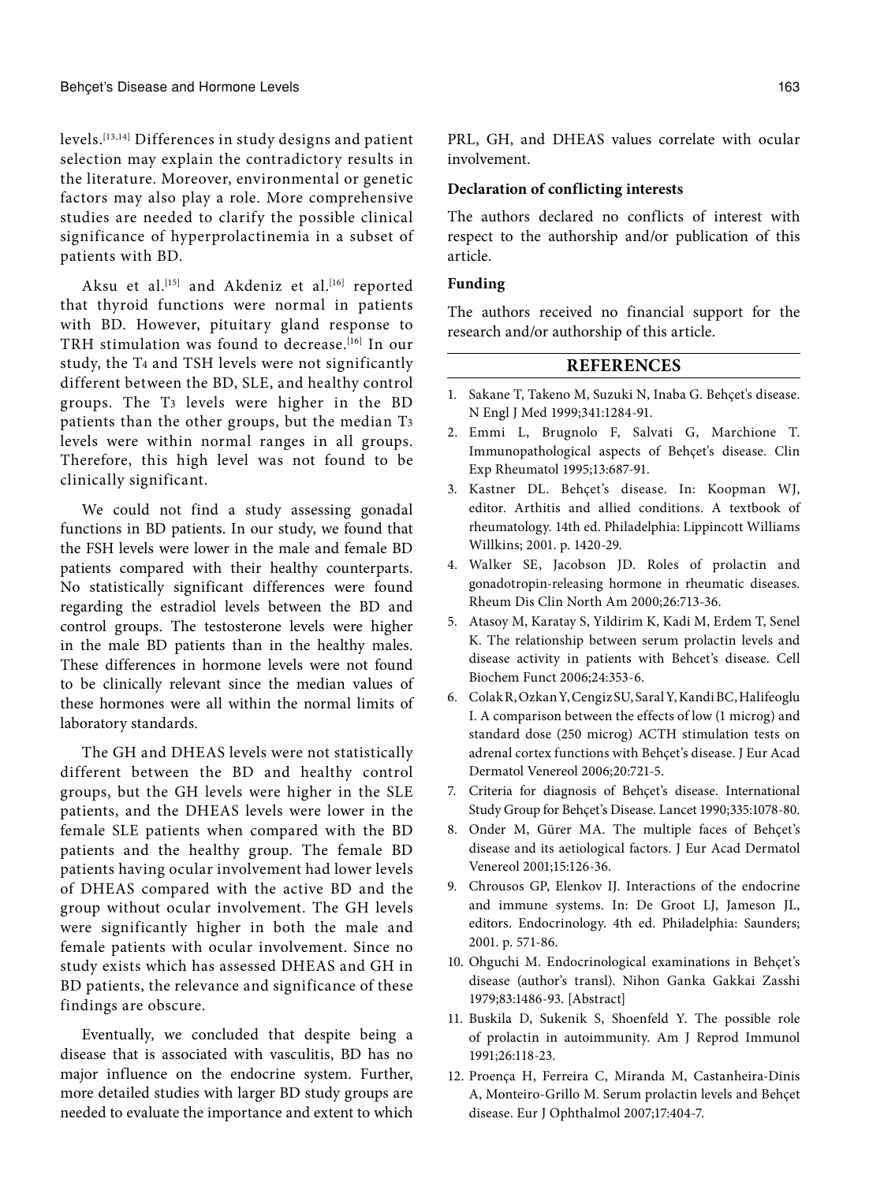levels.[13,14] Differences in study designs and patient selection may explain the contradictory results in the literature. Moreover, environmental or genetic factors may also play a role. More comprehensive studies are needed to clarify the possible clinical significance of hyperprolactinemia in a subset of patients with BD.

Aksu et al.<sup>[15]</sup> and Akdeniz et al.<sup>[16]</sup> reported that thyroid functions were normal in patients with BD. However, pituitary gland response to TRH stimulation was found to decrease.<sup>[16]</sup> In our study, the T4 and TSH levels were not significantly different between the BD, SLE, and healthy control groups. The T3 levels were higher in the BD patients than the other groups, but the median T3 levels were within normal ranges in all groups. Therefore, this high level was not found to be clinically significant.

We could not find a study assessing gonadal functions in BD patients. In our study, we found that the FSH levels were lower in the male and female BD patients compared with their healthy counterparts. No statistically significant differences were found regarding the estradiol levels between the BD and control groups. The testosterone levels were higher in the male BD patients than in the healthy males. These differences in hormone levels were not found to be clinically relevant since the median values of these hormones were all within the normal limits of laboratory standards.

The GH and DHEAS levels were not statistically different between the BD and healthy control groups, but the GH levels were higher in the SLE patients, and the DHEAS levels were lower in the female SLE patients when compared with the BD patients and the healthy group. The female BD patients having ocular involvement had lower levels of DHEAS compared with the active BD and the group without ocular involvement. The GH levels were significantly higher in both the male and female patients with ocular involvement. Since no study exists which has assessed DHEAS and GH in BD patients, the relevance and significance of these findings are obscure.

Eventually, we concluded that despite being a disease that is associated with vasculitis, BD has no major influence on the endocrine system. Further, more detailed studies with larger BD study groups are needed to evaluate the importance and extent to which PRL, GH, and DHEAS values correlate with ocular involvement.

#### **Declaration of conflicting interests**

The authors declared no conflicts of interest with respect to the authorship and/or publication of this article.

### **Funding**

The authors received no financial support for the research and/or authorship of this article.

# **REFERENCES**

- 1. Sakane T, Takeno M, Suzuki N, Inaba G. Behçet's disease. N Engl J Med 1999;341:1284-91.
- 2. Emmi L, Brugnolo F, Salvati G, Marchione T. Immunopathological aspects of Behçet's disease. Clin Exp Rheumatol 1995;13:687-91.
- 3. Kastner DL. Behçet's disease. In: Koopman WJ, editor. Arthitis and allied conditions. A textbook of rheumatology. 14th ed. Philadelphia: Lippincott Williams Willkins; 2001. p. 1420-29.
- 4. Walker SE, Jacobson JD. Roles of prolactin and gonadotropin-releasing hormone in rheumatic diseases. Rheum Dis Clin North Am 2000;26:713-36.
- 5. Atasoy M, Karatay S, Yildirim K, Kadi M, Erdem T, Senel K. The relationship between serum prolactin levels and disease activity in patients with Behcet's disease. Cell Biochem Funct 2006;24:353-6.
- 6. Colak R, Ozkan Y, Cengiz SU, Saral Y, Kandi BC, Halifeoglu I. A comparison between the effects of low (1 microg) and standard dose (250 microg) ACTH stimulation tests on adrenal cortex functions with Behçet's disease. J Eur Acad Dermatol Venereol 2006;20:721-5.
- 7. Criteria for diagnosis of Behçet's disease. International Study Group for Behçet's Disease. Lancet 1990;335:1078-80.
- 8. Onder M, Gürer MA. The multiple faces of Behçet's disease and its aetiological factors. J Eur Acad Dermatol Venereol 2001;15:126-36.
- 9. Chrousos GP, Elenkov IJ. Interactions of the endocrine and immune systems. In: De Groot LJ, Jameson JL, editors. Endocrinology. 4th ed. Philadelphia: Saunders; 2001. p. 571-86.
- 10. Ohguchi M. Endocrinological examinations in Behçet's disease (author's transl). Nihon Ganka Gakkai Zasshi 1979;83:1486-93. [Abstract]
- 11. Buskila D, Sukenik S, Shoenfeld Y. The possible role of prolactin in autoimmunity. Am J Reprod Immunol 1991;26:118-23.
- 12. Proença H, Ferreira C, Miranda M, Castanheira-Dinis A, Monteiro-Grillo M. Serum prolactin levels and Behçet disease. Eur J Ophthalmol 2007;17:404-7.